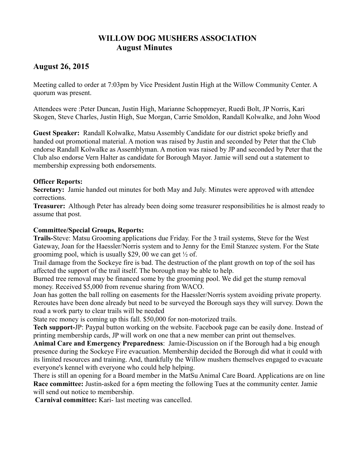# **WILLOW DOG MUSHERS ASSOCIATION August Minutes**

# **August 26, 2015**

Meeting called to order at 7:03pm by Vice President Justin High at the Willow Community Center. A quorum was present.

Attendees were :Peter Duncan, Justin High, Marianne Schoppmeyer, Ruedi Bolt, JP Norris, Kari Skogen, Steve Charles, Justin High, Sue Morgan, Carrie Smoldon, Randall Kolwalke, and John Wood

**Guest Speaker:** Randall Kolwalke, Matsu Assembly Candidate for our district spoke briefly and handed out promotional material. A motion was raised by Justin and seconded by Peter that the Club endorse Randall Kolwalke as Assemblyman. A motion was raised by JP and seconded by Peter that the Club also endorse Vern Halter as candidate for Borough Mayor. Jamie will send out a statement to membership expressing both endorsements.

# **Officer Reports:**

**Secretary:** Jamie handed out minutes for both May and July. Minutes were approved with attendee corrections.

**Treasurer:** Although Peter has already been doing some treasurer responsibilities he is almost ready to assume that post.

# **Committee/Special Groups, Reports:**

**Trails-**Steve: Matsu Grooming applications due Friday. For the 3 trail systems, Steve for the West Gateway, Joan for the Haessler/Norris system and to Jenny for the Emil Stanzec system. For the State groomimg pool, which is usually \$29, 00 we can get  $\frac{1}{2}$  of.

Trail damage from the Sockeye fire is bad. The destruction of the plant growth on top of the soil has affected the support of the trail itself. The borough may be able to help.

Burned tree removal may be financed some by the grooming pool. We did get the stump removal money. Received \$5,000 from revenue sharing from WACO.

Joan has gotten the ball rolling on easements for the Haessler/Norris system avoiding private property. Reroutes have been done already but need to be surveyed the Borough says they will survey. Down the road a work party to clear trails will be needed

State rec money is coming up this fall. \$50,000 for non-motorized trails.

**Tech support-**JP: Paypal button working on the website. Facebook page can be easily done. Instead of printing membership cards, JP will work on one that a new member can print out themselves.

**Animal Care and Emergency Preparedness**: Jamie-Discussion on if the Borough had a big enough presence during the Sockeye Fire evacuation. Membership decided the Borough did what it could with its limited resources and training. And, thankfully the Willow mushers themselves engaged to evacuate everyone's kennel with everyone who could help helping.

There is still an opening for a Board member in the MatSu Animal Care Board. Applications are on line **Race committee:** Justin-asked for a 6pm meeting the following Tues at the community center. Jamie will send out notice to membership.

**Carnival committee:** Kari- last meeting was cancelled.